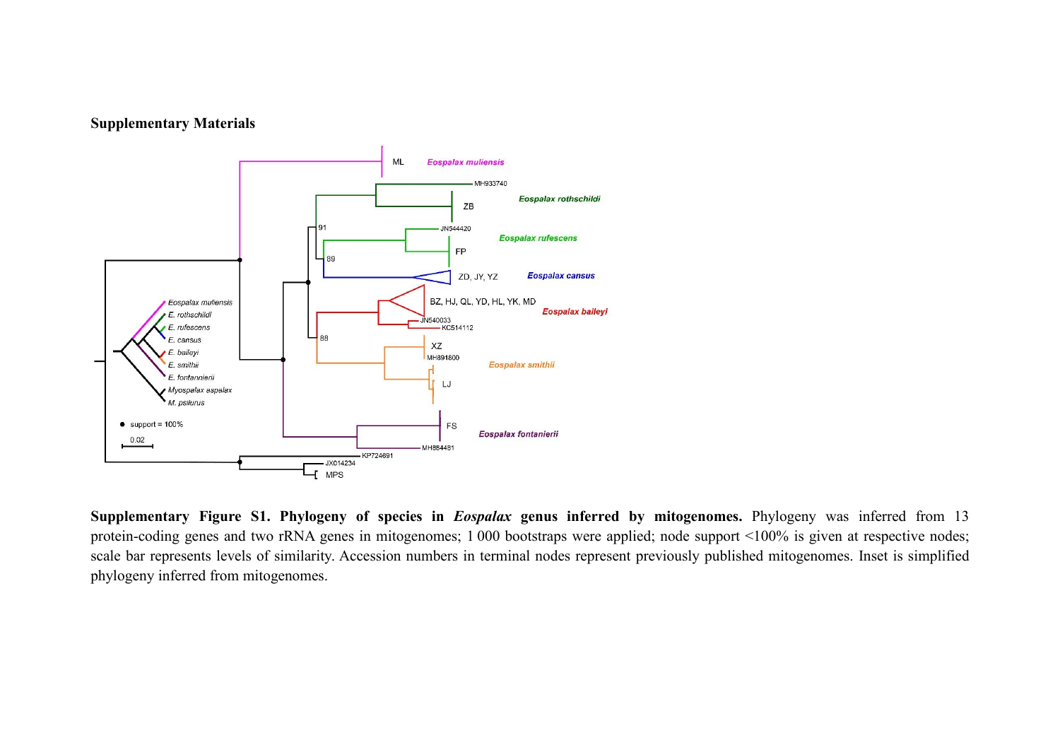## **Supplementary Materials**



**Supplementary Figure S1. Phylogeny of species in** *Eospalax* **genus inferred by mitogenomes.** Phylogeny was inferred from 13 protein-coding genes and two rRNA genes in mitogenomes; 1 000 bootstraps were applied; node support <100% is given at respective nodes; scale bar represents levels of similarity. Accession numbers in terminal nodes represent previously published mitogenomes. Inset is simplified phylogeny inferred from mitogenomes.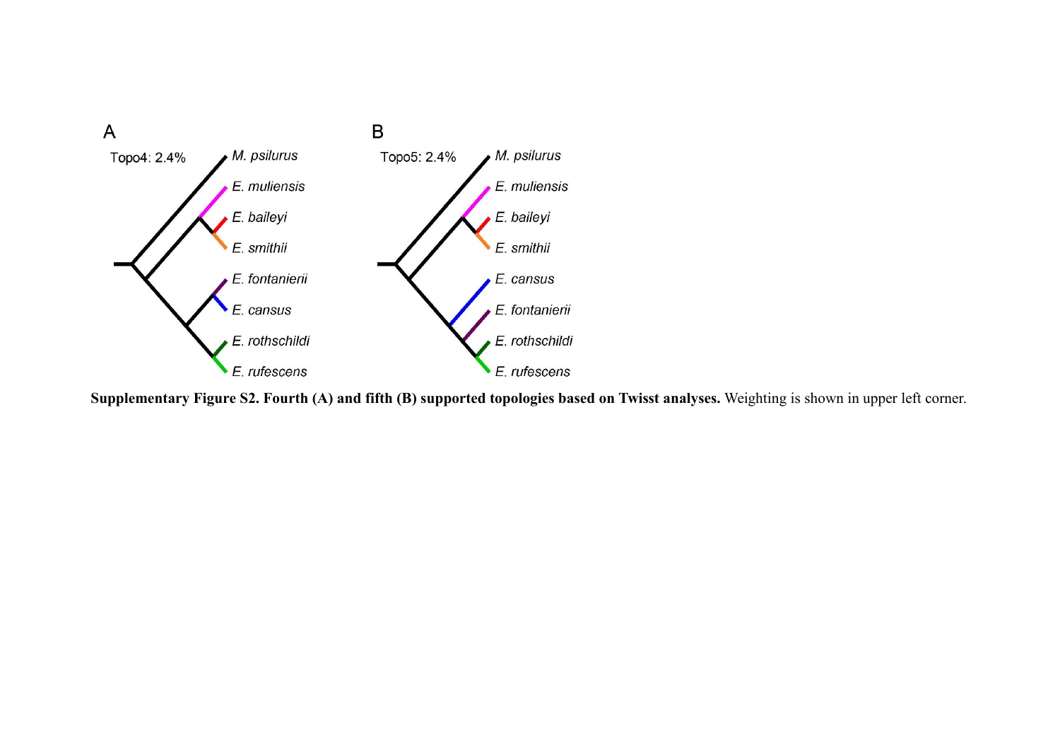

Supplementary Figure S2. Fourth (A) and fifth (B) supported topologies based on Twisst analyses. Weighting is shown in upper left corner.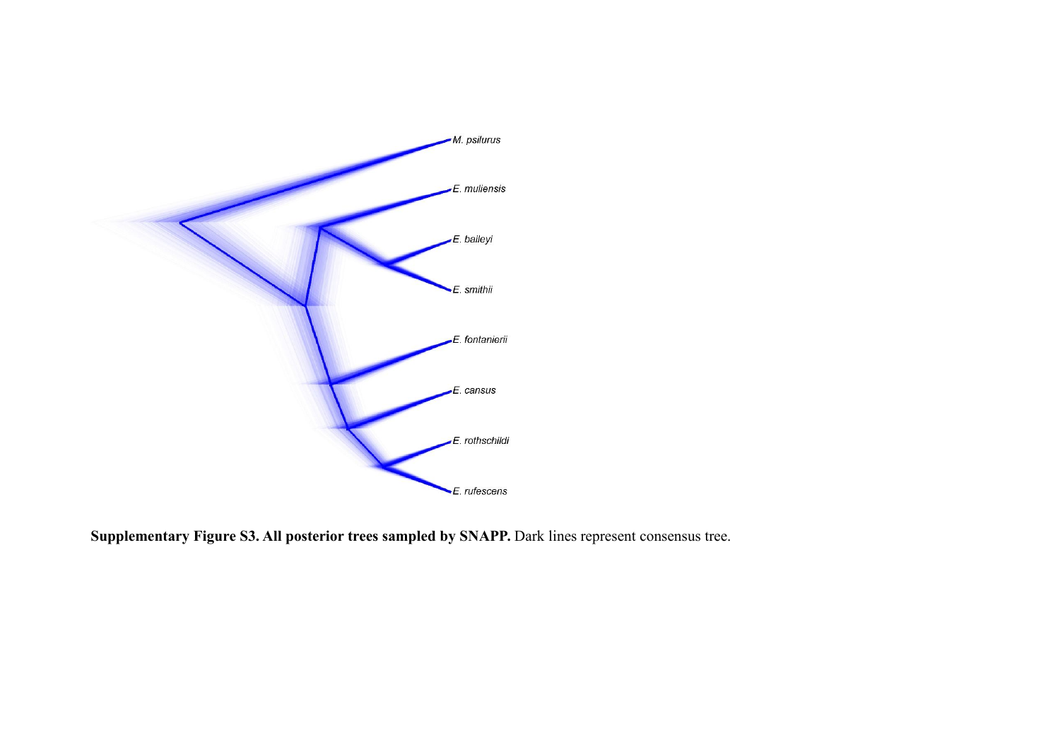

**Supplementary Figure S3. All posterior trees sampled by SNAPP.** Dark lines represent consensus tree.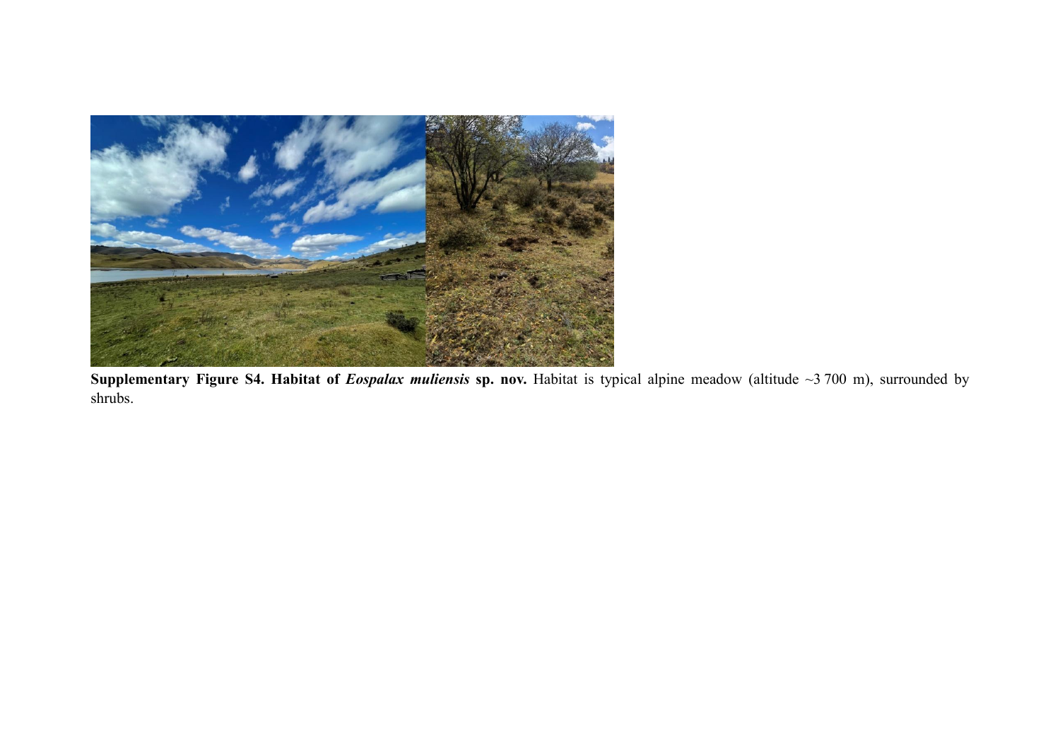

**Supplementary Figure S4. Habitat of** *Eospalax muliensis* **sp. nov.** Habitat is typical alpine meadow (altitude ~3 700 m), surrounded by shrubs.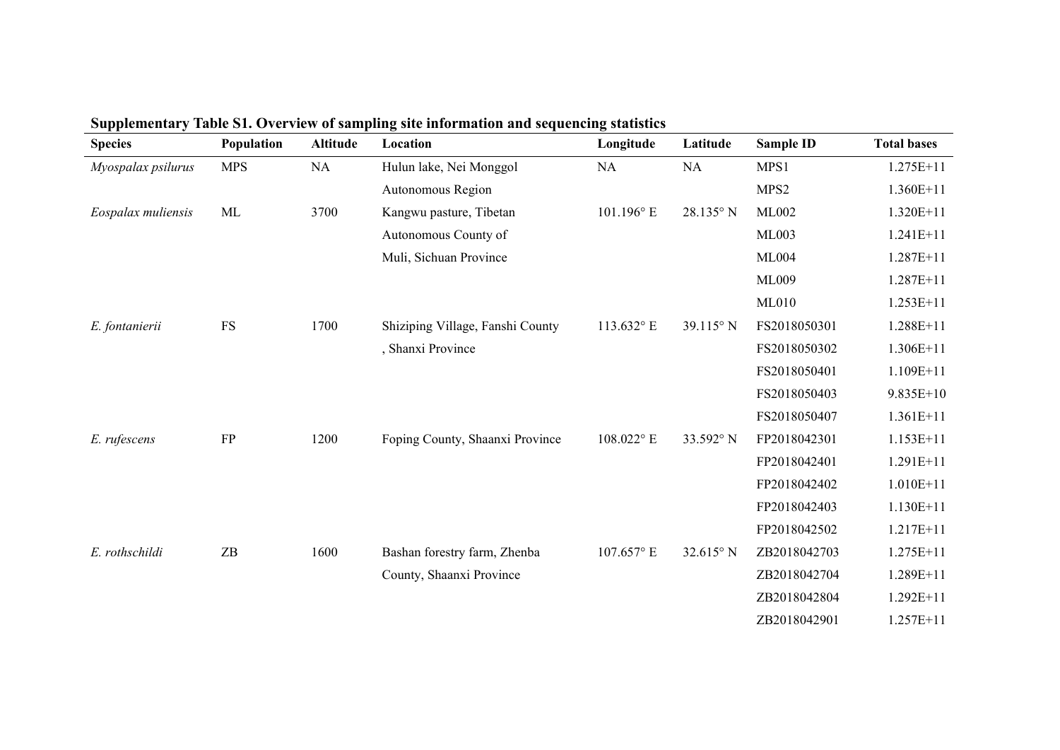| <b>Species</b>     | Population                          | <b>Altitude</b> | Location                         | Longitude    | Latitude           | <b>Sample ID</b> | <b>Total bases</b> |
|--------------------|-------------------------------------|-----------------|----------------------------------|--------------|--------------------|------------------|--------------------|
| Myospalax psilurus | <b>MPS</b>                          | <b>NA</b>       | Hulun lake, Nei Monggol          | <b>NA</b>    | NA                 | MPS1             | $1.275E+11$        |
|                    |                                     |                 | Autonomous Region                |              |                    | MPS2             | $1.360E+11$        |
| Eospalax muliensis | ML                                  | 3700            | Kangwu pasture, Tibetan          | 101.196° E   | 28.135° N          | ML002            | 1.320E+11          |
|                    |                                     |                 | Autonomous County of             |              |                    | <b>ML003</b>     | $1.241E+11$        |
|                    |                                     |                 | Muli, Sichuan Province           |              |                    | <b>ML004</b>     | $1.287E+11$        |
|                    |                                     |                 |                                  |              |                    | ML009            | $1.287E+11$        |
|                    |                                     |                 |                                  |              |                    | <b>ML010</b>     | $1.253E+11$        |
| E. fontanierii     | $\mathop{\text{FS}}$                | 1700            | Shiziping Village, Fanshi County | 113.632°E    | $39.115^{\circ}$ N | FS2018050301     | 1.288E+11          |
|                    |                                     |                 | , Shanxi Province                |              |                    | FS2018050302     | $1.306E+11$        |
|                    |                                     |                 |                                  |              |                    | FS2018050401     | 1.109E+11          |
|                    |                                     |                 |                                  |              |                    | FS2018050403     | $9.835E+10$        |
|                    |                                     |                 |                                  |              |                    | FS2018050407     | $1.361E+11$        |
| E. rufescens       | FP                                  | 1200            | Foping County, Shaanxi Province  | 108.022° E   | 33.592° N          | FP2018042301     | $1.153E+11$        |
|                    |                                     |                 |                                  |              |                    | FP2018042401     | $1.291E+11$        |
|                    |                                     |                 |                                  |              |                    | FP2018042402     | $1.010E + 11$      |
|                    |                                     |                 |                                  |              |                    | FP2018042403     | $1.130E+11$        |
|                    |                                     |                 |                                  |              |                    | FP2018042502     | $1.217E+11$        |
| E. rothschildi     | $\ensuremath{\mathsf{Z}\mathsf{B}}$ | 1600            | Bashan forestry farm, Zhenba     | $107.657$ °E | $32.615^{\circ}$ N | ZB2018042703     | $1.275E+11$        |
|                    |                                     |                 | County, Shaanxi Province         |              |                    | ZB2018042704     | 1.289E+11          |
|                    |                                     |                 |                                  |              |                    | ZB2018042804     | 1.292E+11          |
|                    |                                     |                 |                                  |              |                    | ZB2018042901     | $1.257E+11$        |

**Supplementary Table S1. Overview of sampling site information and sequencing statistics**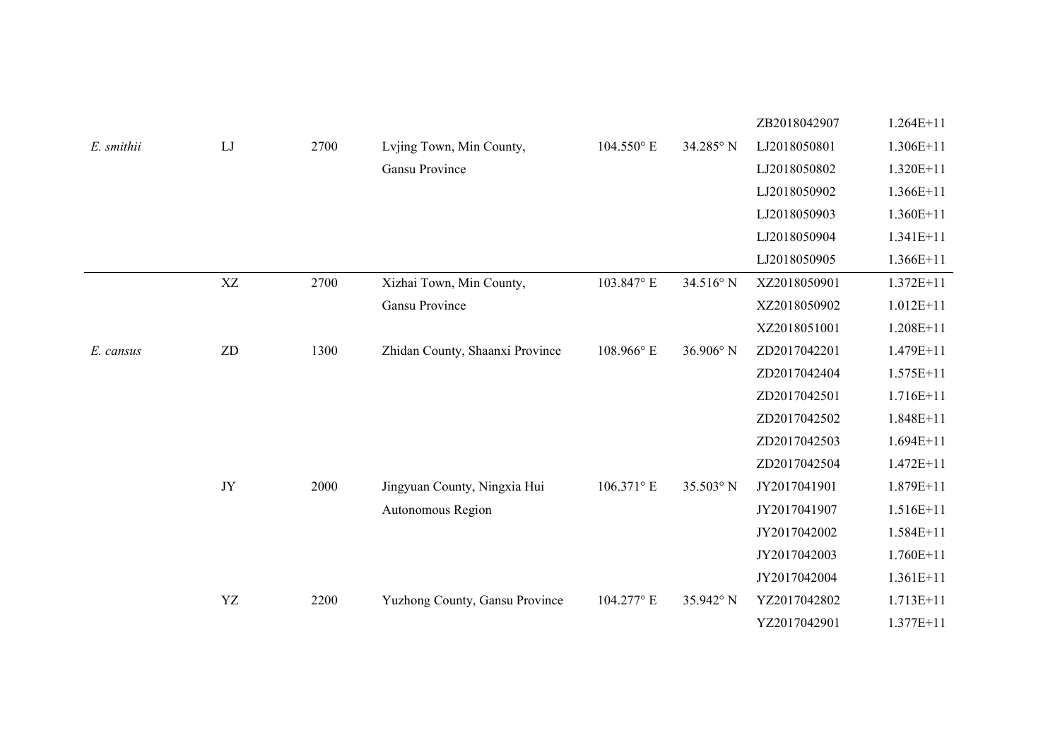|            |                            |      |                                 |                     |                    | ZB2018042907 | $1.264E+11$   |
|------------|----------------------------|------|---------------------------------|---------------------|--------------------|--------------|---------------|
| E. smithii | LJ                         | 2700 | Lvjing Town, Min County,        | $104.550^{\circ}$ E | 34.285° N          | LJ2018050801 | $1.306E+11$   |
|            |                            |      | Gansu Province                  |                     |                    | LJ2018050802 | 1.320E+11     |
|            |                            |      |                                 |                     |                    | LJ2018050902 | 1.366E+11     |
|            |                            |      |                                 |                     |                    | LJ2018050903 | 1.360E+11     |
|            |                            |      |                                 |                     |                    | LJ2018050904 | 1.341E+11     |
|            |                            |      |                                 |                     |                    | LJ2018050905 | 1.366E+11     |
|            | XZ                         | 2700 | Xizhai Town, Min County,        | 103.847° E          | 34.516° N          | XZ2018050901 | $1.372E+11$   |
|            |                            |      | Gansu Province                  |                     |                    | XZ2018050902 | $1.012E+11$   |
|            |                            |      |                                 |                     |                    | XZ2018051001 | 1.208E+11     |
| E. cansus  | $\ensuremath{\mathrm{ZD}}$ | 1300 | Zhidan County, Shaanxi Province | 108.966° E          | $36.906^{\circ}$ N | ZD2017042201 | 1.479E+11     |
|            |                            |      |                                 |                     |                    | ZD2017042404 | $1.575E+11$   |
|            |                            |      |                                 |                     |                    | ZD2017042501 | $1.716E+11$   |
|            |                            |      |                                 |                     |                    | ZD2017042502 | 1.848E+11     |
|            |                            |      |                                 |                     |                    | ZD2017042503 | $1.694E+11$   |
|            |                            |      |                                 |                     |                    | ZD2017042504 | $1.472E+11$   |
|            | JY                         | 2000 | Jingyuan County, Ningxia Hui    | 106.371° E          | 35.503° N          | JY2017041901 | 1.879E+11     |
|            |                            |      | Autonomous Region               |                     |                    | JY2017041907 | $1.516E+11$   |
|            |                            |      |                                 |                     |                    | JY2017042002 | $1.584E+11$   |
|            |                            |      |                                 |                     |                    | JY2017042003 | 1.760E+11     |
|            |                            |      |                                 |                     |                    | JY2017042004 | $1.361E+11$   |
|            | YZ                         | 2200 | Yuzhong County, Gansu Province  | 104.277° E          | 35.942° N          | YZ2017042802 | 1.713E+11     |
|            |                            |      |                                 |                     |                    | YZ2017042901 | $1.377E + 11$ |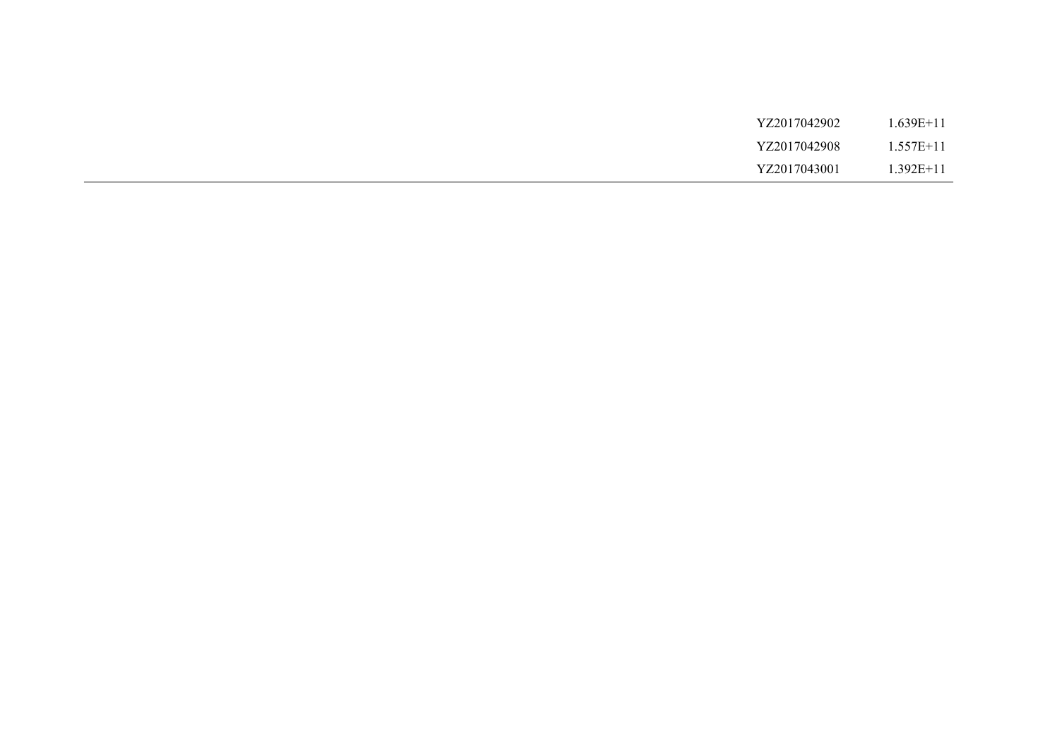| YZ2017042902 | $1.639E + 11$ |
|--------------|---------------|
| YZ2017042908 | $1.557E+11$   |
| YZ2017043001 | $.392E+11$    |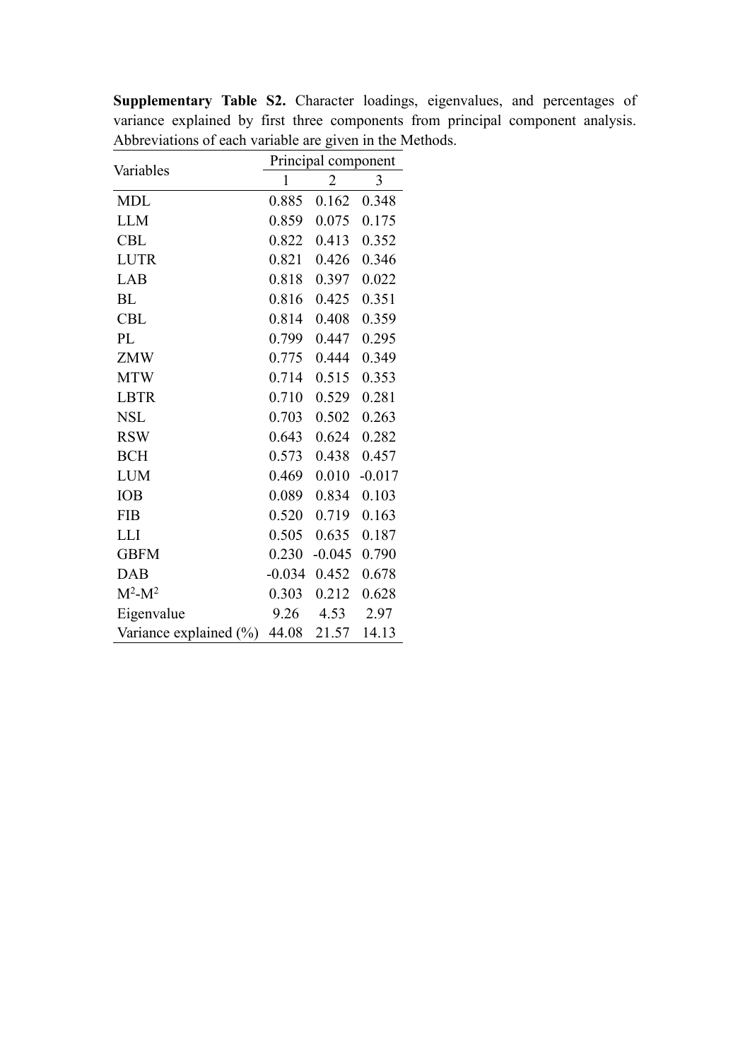|                           | Principal component |                |          |  |  |  |  |
|---------------------------|---------------------|----------------|----------|--|--|--|--|
| Variables                 | $\mathbf{1}$        | $\overline{2}$ | 3        |  |  |  |  |
| <b>MDL</b>                | 0.885               | 0.162          | 0.348    |  |  |  |  |
| <b>LLM</b>                | 0.859               | 0.075          | 0.175    |  |  |  |  |
| <b>CBL</b>                | 0.822               | 0.413          | 0.352    |  |  |  |  |
| <b>LUTR</b>               | 0.821               | 0.426          | 0.346    |  |  |  |  |
| LAB                       | 0.818               | 0.397          | 0.022    |  |  |  |  |
| BL                        | 0.816               | 0.425          | 0.351    |  |  |  |  |
| <b>CBL</b>                | 0.814               | 0.408          | 0.359    |  |  |  |  |
| PL                        | 0.799               | 0.447          | 0.295    |  |  |  |  |
| <b>ZMW</b>                | 0.775               | 0.444          | 0.349    |  |  |  |  |
| <b>MTW</b>                | 0.714               | 0.515          | 0.353    |  |  |  |  |
| <b>LBTR</b>               | 0.710               | 0.529          | 0.281    |  |  |  |  |
| <b>NSL</b>                | 0.703               | 0.502          | 0.263    |  |  |  |  |
| <b>RSW</b>                | 0.643               | 0.624          | 0.282    |  |  |  |  |
| <b>BCH</b>                | 0.573               | 0.438          | 0.457    |  |  |  |  |
| <b>LUM</b>                | 0.469               | 0.010          | $-0.017$ |  |  |  |  |
| IOB                       | 0.089               | 0.834          | 0.103    |  |  |  |  |
| <b>FIB</b>                | 0.520               | 0.719          | 0.163    |  |  |  |  |
| <b>LLI</b>                | 0.505               | 0.635          | 0.187    |  |  |  |  |
| <b>GBFM</b>               | 0.230               | $-0.045$       | 0.790    |  |  |  |  |
| <b>DAB</b>                |                     | $-0.034$ 0.452 | 0.678    |  |  |  |  |
| $M^2-M^2$                 | 0.303               | 0.212          | 0.628    |  |  |  |  |
| Eigenvalue                | 9.26                | 4.53           | 2.97     |  |  |  |  |
| Variance explained $(\%)$ |                     | 44.08 21.57    | 14.13    |  |  |  |  |

**Supplementary Table S2.** Character loadings, eigenvalues, and percentages of variance explained by first three components from principal component analysis. Abbreviations of each variable are given in the Methods.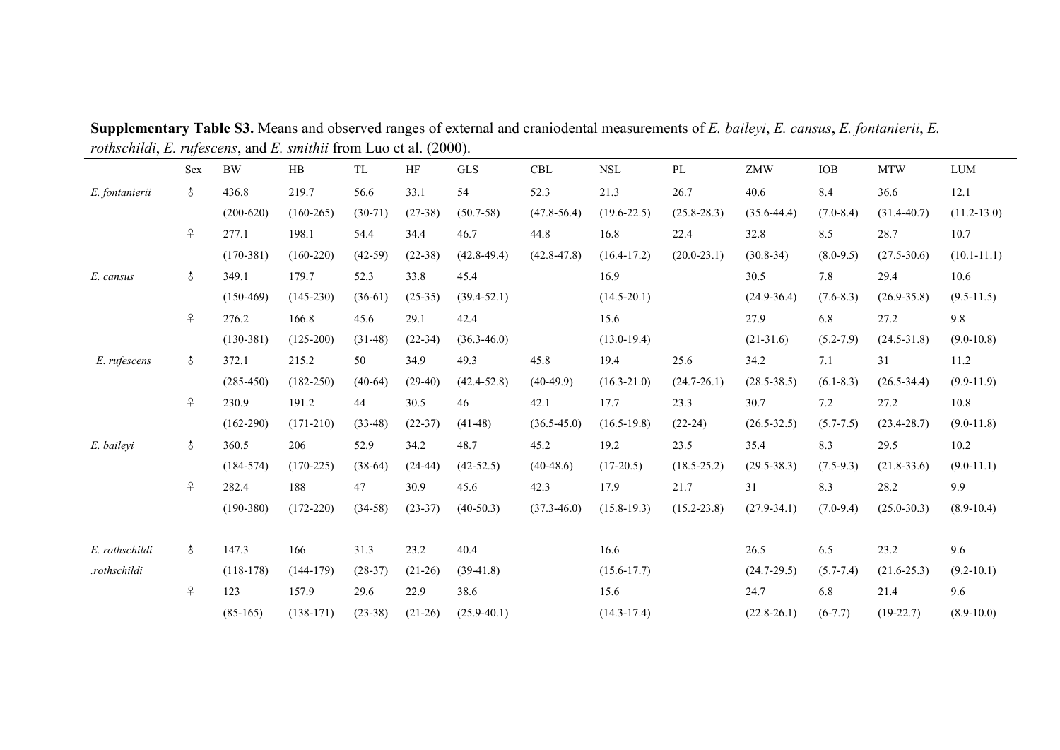|                | Sex            | $\rm BW$      | $\rm HB$      | TL        | HF        | ${\rm GLS}$     | $\operatorname{CBL}$ | $\operatorname{NSL}$ | PL              | ZMW             | IOB           | $\operatorname{MTW}$ | <b>LUM</b>      |
|----------------|----------------|---------------|---------------|-----------|-----------|-----------------|----------------------|----------------------|-----------------|-----------------|---------------|----------------------|-----------------|
| E. fontanierii | $\delta$       | 436.8         | 219.7         | 56.6      | 33.1      | 54              | 52.3                 | 21.3                 | 26.7            | 40.6            | 8.4           | 36.6                 | 12.1            |
|                |                | $(200-620)$   | $(160-265)$   | $(30-71)$ | $(27-38)$ | $(50.7-58)$     | $(47.8 - 56.4)$      | $(19.6 - 22.5)$      | $(25.8 - 28.3)$ | $(35.6 - 44.4)$ | $(7.0 - 8.4)$ | $(31.4 - 40.7)$      | $(11.2 - 13.0)$ |
|                | $\overline{P}$ | 277.1         | 198.1         | 54.4      | 34.4      | 46.7            | 44.8                 | 16.8                 | 22.4            | 32.8            | 8.5           | 28.7                 | 10.7            |
|                |                | $(170-381)$   | $(160-220)$   | $(42-59)$ | $(22-38)$ | $(42.8 - 49.4)$ | $(42.8 - 47.8)$      | $(16.4 - 17.2)$      | $(20.0 - 23.1)$ | $(30.8-34)$     | $(8.0-9.5)$   | $(27.5 - 30.6)$      | $(10.1 - 11.1)$ |
| E. cansus      | $\uparrow$     | 349.1         | 179.7         | 52.3      | 33.8      | 45.4            |                      | 16.9                 |                 | 30.5            | 7.8           | 29.4                 | 10.6            |
|                |                | $(150-469)$   | $(145-230)$   | $(36-61)$ | $(25-35)$ | $(39.4 - 52.1)$ |                      | $(14.5 - 20.1)$      |                 | $(24.9 - 36.4)$ | $(7.6 - 8.3)$ | $(26.9 - 35.8)$      | $(9.5-11.5)$    |
|                | $\overline{P}$ | 276.2         | 166.8         | 45.6      | 29.1      | 42.4            |                      | 15.6                 |                 | 27.9            | 6.8           | 27.2                 | 9.8             |
|                |                | $(130-381)$   | $(125-200)$   | $(31-48)$ | $(22-34)$ | $(36.3 - 46.0)$ |                      | $(13.0-19.4)$        |                 | $(21-31.6)$     | $(5.2 - 7.9)$ | $(24.5 - 31.8)$      | $(9.0-10.8)$    |
| E. rufescens   | $\delta$       | 372.1         | 215.2         | 50        | 34.9      | 49.3            | 45.8                 | 19.4                 | 25.6            | 34.2            | 7.1           | 31                   | 11.2            |
|                |                | $(285-450)$   | $(182 - 250)$ | $(40-64)$ | $(29-40)$ | $(42.4 - 52.8)$ | $(40-49.9)$          | $(16.3 - 21.0)$      | $(24.7 - 26.1)$ | $(28.5 - 38.5)$ | $(6.1 - 8.3)$ | $(26.5 - 34.4)$      | $(9.9-11.9)$    |
|                | $\overline{P}$ | 230.9         | 191.2         | 44        | 30.5      | 46              | 42.1                 | 17.7                 | 23.3            | 30.7            | 7.2           | 27.2                 | 10.8            |
|                |                | $(162 - 290)$ | $(171-210)$   | $(33-48)$ | $(22-37)$ | $(41-48)$       | $(36.5 - 45.0)$      | $(16.5-19.8)$        | $(22-24)$       | $(26.5 - 32.5)$ | $(5.7 - 7.5)$ | $(23.4 - 28.7)$      | $(9.0-11.8)$    |
| E. baileyi     | $\delta$       | 360.5         | 206           | 52.9      | 34.2      | 48.7            | 45.2                 | 19.2                 | 23.5            | 35.4            | 8.3           | 29.5                 | 10.2            |
|                |                | $(184-574)$   | $(170-225)$   | $(38-64)$ | $(24-44)$ | $(42-52.5)$     | $(40-48.6)$          | $(17-20.5)$          | $(18.5 - 25.2)$ | $(29.5 - 38.3)$ | $(7.5-9.3)$   | $(21.8-33.6)$        | $(9.0-11.1)$    |
|                | $\overline{P}$ | 282.4         | 188           | 47        | 30.9      | 45.6            | 42.3                 | 17.9                 | 21.7            | 31              | 8.3           | 28.2                 | 9.9             |
|                |                | $(190-380)$   | $(172 - 220)$ | $(34-58)$ | $(23-37)$ | $(40-50.3)$     | $(37.3 - 46.0)$      | $(15.8-19.3)$        | $(15.2 - 23.8)$ | $(27.9 - 34.1)$ | $(7.0-9.4)$   | $(25.0 - 30.3)$      | $(8.9-10.4)$    |
|                |                |               |               |           |           |                 |                      |                      |                 |                 |               |                      |                 |
| E. rothschildi | $\delta$       | 147.3         | 166           | 31.3      | 23.2      | 40.4            |                      | 16.6                 |                 | 26.5            | 6.5           | 23.2                 | 9.6             |
| .rothschildi   |                | $(118-178)$   | $(144-179)$   | $(28-37)$ | $(21-26)$ | $(39-41.8)$     |                      | $(15.6 - 17.7)$      |                 | $(24.7-29.5)$   | $(5.7 - 7.4)$ | $(21.6 - 25.3)$      | $(9.2 - 10.1)$  |
|                | $\overline{P}$ | 123           | 157.9         | 29.6      | 22.9      | 38.6            |                      | 15.6                 |                 | 24.7            | 6.8           | 21.4                 | 9.6             |
|                |                | $(85-165)$    | $(138-171)$   | $(23-38)$ | $(21-26)$ | $(25.9 - 40.1)$ |                      | $(14.3 - 17.4)$      |                 | $(22.8-26.1)$   | $(6-7.7)$     | $(19-22.7)$          | $(8.9-10.0)$    |

**Supplementary Table S3.** Means and observed ranges ofexternal and craniodental measurements of *E. baileyi*, *E. cansus*, *E. fontanierii*, *E. rothschildi*, *E. rufescens*, and *E. smithii* from Luo et al. (2000).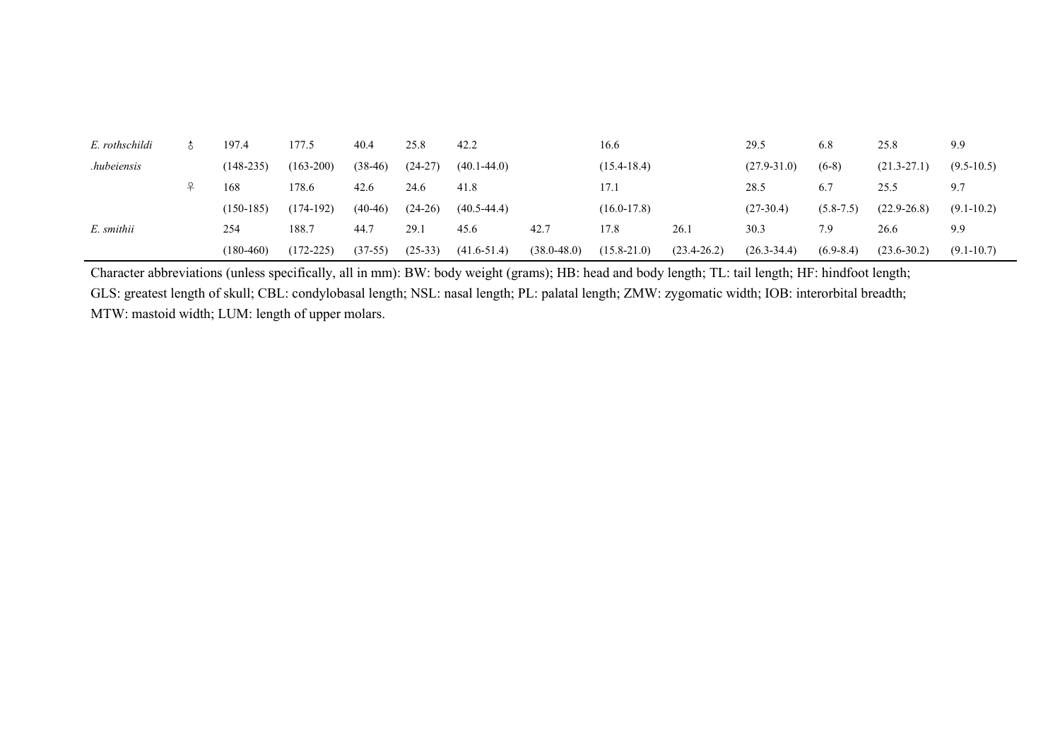| E. rothschildi | 197.4       | 177.5         | 40.4      | 25.8      | 42.2            |                 | 16.6            |                 | 29.5            | 6.8           | 25.8            | 9.9            |
|----------------|-------------|---------------|-----------|-----------|-----------------|-----------------|-----------------|-----------------|-----------------|---------------|-----------------|----------------|
| .hubeiensis    | $(148-235)$ | $(163 - 200)$ | $(38-46)$ | $(24-27)$ | $(40.1 - 44.0)$ |                 | $(15.4 - 18.4)$ |                 | $(27.9 - 31.0)$ | $(6-8)$       | $(21.3 - 27.1)$ | $(9.5-10.5)$   |
|                | 168         | 178.6         | 42.6      | 24.6      | 41.8            |                 | 17.1            |                 | 28.5            | 6.7           | 25.5            | 9.7            |
|                | $(150-185)$ | $(174-192)$   | $(40-46)$ | $(24-26)$ | $(40.5 - 44.4)$ |                 | $(16.0 - 17.8)$ |                 | $(27-30.4)$     | $(5.8 - 7.5)$ | $(22.9 - 26.8)$ | $(9.1 - 10.2)$ |
| E. smithii     | 254         | 188.7         | 44.7      | 29.1      | 45.6            | 42.7            | 17.8            | 26.1            | 30.3            | 7.9           | 26.6            | 9.9            |
|                | $(180-460)$ | $(172 - 225)$ | $(37-55)$ | $(25-33)$ | $(41.6 - 51.4)$ | $(38.0 - 48.0)$ | $(15.8 - 21.0)$ | $(23.4 - 26.2)$ | $(26.3 - 34.4)$ | $(6.9 - 8.4)$ | $(23.6 - 30.2)$ | $(9.1 - 10.7)$ |

Character abbreviations (unless specifically, all in mm): BW: body weight (grams); HB: head and body length; TL: tail length; HF: hindfoot length; GLS: greatest length of skull; CBL: condylobasal length; NSL: nasal length; PL: palatal length; ZMW: zygomatic width; IOB: interorbital breadth; MTW: mastoid width; LUM: length of upper molars.